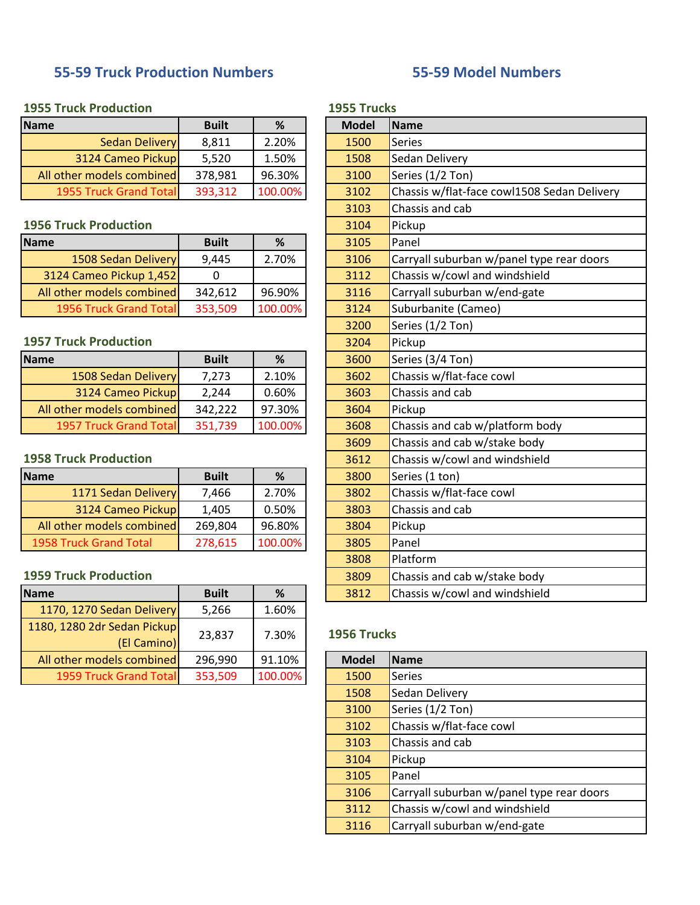# **55-59 Truck Production Numbers**

# **55-59 Model Numbers**

## **1955 Truck Production**

| <b>Name</b>                    | <b>Built</b> | %       | <b>Model</b> | <b>IName</b>      |
|--------------------------------|--------------|---------|--------------|-------------------|
| <b>Sedan Delivery</b>          | 8,811        | 2.20%   | 1500         | <b>Series</b>     |
| 3124 Cameo Pickup              | 5.520        | 1.50%   | 1508         | Sedan Delivery    |
| All other models combined      | 378,981      | 96.30%  | 3100         | Series (1/2 Ton)  |
| <b>1955 Truck Grand Totall</b> | 393,312      | 100.00% | 3102         | Chassis w/flat-fa |
|                                |              |         |              |                   |

#### **1956 Truck Production**

| <b>Name</b>               | <b>Built</b> | %       | 3105 | Panel                          |
|---------------------------|--------------|---------|------|--------------------------------|
| 1508 Sedan Delivery       | 9.445        | 2.70%   | 3106 | Carryall suburban w/panel type |
| 3124 Cameo Pickup 1,452   |              |         | 3112 | Chassis w/cowl and windshield  |
| All other models combined | 342,612      | 96.90%  | 3116 | Carryall suburban w/end-gate   |
| 1956 Truck Grand Total    | 353,509      | 100.00% | 3124 | Suburbanite (Cameo)            |
|                           |              |         |      |                                |

### **1957 Truck Production**

| Name                      | <b>Built</b> | %       | 3600 | Series (3/4 Ton)                |
|---------------------------|--------------|---------|------|---------------------------------|
| 1508 Sedan Delivery       | 7.273        | 2.10%   | 3602 | Chassis w/flat-face cowl        |
| 3124 Cameo Pickup         | 2.244        | 0.60%   | 3603 | <b>Chassis and cab</b>          |
| All other models combined | 342.222      | 97.30%  | 3604 | <b>IPickup</b>                  |
| 1957 Truck Grand Total    | 351,739      | 100.00% | 3608 | Chassis and cab w/platform body |

#### **1958 Truck Production**

| Name                      | <b>Built</b> | %       | 3800 | Series (1 ton)           |
|---------------------------|--------------|---------|------|--------------------------|
| 1171 Sedan Delivery       | 7.466        | 2.70%   | 3802 | Chassis w/flat-face cowl |
| 3124 Cameo Pickup         | 1.405        | 0.50%   | 3803 | Chassis and cab          |
| All other models combined | 269,804      | 96.80%  | 3804 | Pickup                   |
| 1958 Truck Grand Total    | 278,615      | 100.00% | 3805 | <b>Panel</b>             |

#### **1959 Truck Production**

| <b>Name</b>                                | <b>Built</b> | %       |             | 3812         | Chassis w/cowl and windshield |  |  |
|--------------------------------------------|--------------|---------|-------------|--------------|-------------------------------|--|--|
| 1170, 1270 Sedan Delivery                  | 5,266        | 1.60%   |             |              |                               |  |  |
| 1180, 1280 2dr Sedan Pickup<br>(El Camino) | 23,837       | 7.30%   | 1956 Trucks |              |                               |  |  |
| All other models combined                  | 296,990      | 91.10%  |             | <b>Model</b> | <b>IName</b>                  |  |  |
| <b>1959 Truck Grand Total</b>              | 353,509      | 100.00% |             | 1500         | <b>Series</b>                 |  |  |
|                                            |              |         |             |              |                               |  |  |

|  | <b>1955 Trucks</b> |
|--|--------------------|
|--|--------------------|

|                          | <b>Built</b> | %       |  | <b>Model</b> | <b>Name</b>                                 |  |  |
|--------------------------|--------------|---------|--|--------------|---------------------------------------------|--|--|
| <b>Sedan Delivery</b>    | 8,811        | 2.20%   |  | 1500         | <b>Series</b>                               |  |  |
| 3124 Cameo Pickup        | 5,520        | 1.50%   |  | 1508         | Sedan Delivery                              |  |  |
| other models combined    | 378,981      | 96.30%  |  | 3100         | Series (1/2 Ton)                            |  |  |
| 1955 Truck Grand Total   | 393,312      | 100.00% |  | 3102         | Chassis w/flat-face cowl1508 Sedan Delivery |  |  |
|                          |              |         |  | 3103         | Chassis and cab                             |  |  |
| <b>Truck Production</b>  |              |         |  | 3104         | Pickup                                      |  |  |
|                          | <b>Built</b> | %       |  | 3105         | Panel                                       |  |  |
| 1508 Sedan Delivery      | 9,445        | 2.70%   |  | 3106         | Carryall suburban w/panel type rear doors   |  |  |
| 24 Cameo Pickup 1,452    | $\mathbf 0$  |         |  | 3112         | Chassis w/cowl and windshield               |  |  |
| other models combined    | 342,612      | 96.90%  |  | 3116         | Carryall suburban w/end-gate                |  |  |
| 1956 Truck Grand Total   | 353,509      | 100.00% |  | 3124         | Suburbanite (Cameo)                         |  |  |
|                          |              |         |  | 3200         | Series (1/2 Ton)                            |  |  |
| <b>Truck Production</b>  |              |         |  | 3204         | Pickup                                      |  |  |
|                          | <b>Built</b> | %       |  | 3600         | Series (3/4 Ton)                            |  |  |
| 1508 Sedan Delivery      | 7,273        | 2.10%   |  | 3602         | Chassis w/flat-face cowl                    |  |  |
| 3124 Cameo Pickup        | 2,244        | 0.60%   |  | 3603         | Chassis and cab                             |  |  |
| other models combined    | 342,222      | 97.30%  |  | 3604         | Pickup                                      |  |  |
| 1957 Truck Grand Total   | 351,739      | 100.00% |  | 3608         | Chassis and cab w/platform body             |  |  |
|                          |              |         |  | 3609         | Chassis and cab w/stake body                |  |  |
| <b>Truck Production</b>  |              |         |  | 3612         | Chassis w/cowl and windshield               |  |  |
|                          | <b>Built</b> | %       |  | 3800         | Series (1 ton)                              |  |  |
| 1171 Sedan Delivery      | 7,466        | 2.70%   |  | 3802         | Chassis w/flat-face cowl                    |  |  |
| 3124 Cameo Pickup        | 1,405        | 0.50%   |  | 3803         | Chassis and cab                             |  |  |
| other models combined    | 269,804      | 96.80%  |  | 3804         | Pickup                                      |  |  |
| <b>Truck Grand Total</b> | 278,615      | 100.00% |  | 3805         | Panel                                       |  |  |
|                          |              |         |  | 3808         | Platform                                    |  |  |
| <b>Truck Production</b>  |              |         |  | 3809         | Chassis and cab w/stake body                |  |  |
|                          | <b>Built</b> | %       |  | 3812         | Chassis w/cowl and windshield               |  |  |
|                          |              |         |  |              |                                             |  |  |

### **1956 Trucks**

| <b>Model</b> | <b>Name</b>                               |
|--------------|-------------------------------------------|
| 1500         | <b>Series</b>                             |
| 1508         | Sedan Delivery                            |
| 3100         | Series (1/2 Ton)                          |
| 3102         | Chassis w/flat-face cowl                  |
| 3103         | Chassis and cab                           |
| 3104         | Pickup                                    |
| 3105         | Panel                                     |
| 3106         | Carryall suburban w/panel type rear doors |
| 3112         | Chassis w/cowl and windshield             |
| 3116         | Carryall suburban w/end-gate              |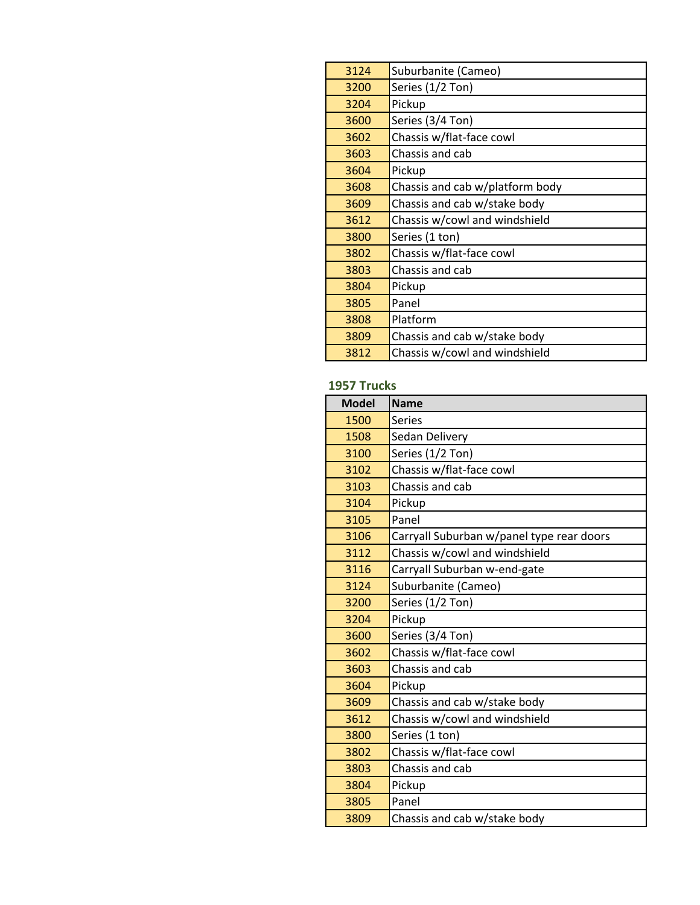| 3124 | Suburbanite (Cameo)             |
|------|---------------------------------|
| 3200 | Series (1/2 Ton)                |
| 3204 | Pickup                          |
| 3600 | Series (3/4 Ton)                |
| 3602 | Chassis w/flat-face cowl        |
| 3603 | Chassis and cab                 |
| 3604 | Pickup                          |
| 3608 | Chassis and cab w/platform body |
| 3609 | Chassis and cab w/stake body    |
| 3612 | Chassis w/cowl and windshield   |
| 3800 | Series (1 ton)                  |
| 3802 | Chassis w/flat-face cowl        |
| 3803 | Chassis and cab                 |
| 3804 | Pickup                          |
| 3805 | Panel                           |
| 3808 | Platform                        |
| 3809 | Chassis and cab w/stake body    |
| 3812 | Chassis w/cowl and windshield   |

# **1957 Trucks**

| <b>Model</b> | <b>Name</b>                               |
|--------------|-------------------------------------------|
| 1500         | <b>Series</b>                             |
| 1508         | Sedan Delivery                            |
| 3100         | Series (1/2 Ton)                          |
| 3102         | Chassis w/flat-face cowl                  |
| 3103         | Chassis and cab                           |
| 3104         | Pickup                                    |
| 3105         | Panel                                     |
| 3106         | Carryall Suburban w/panel type rear doors |
| 3112         | Chassis w/cowl and windshield             |
| 3116         | Carryall Suburban w-end-gate              |
| 3124         | Suburbanite (Cameo)                       |
| 3200         | Series (1/2 Ton)                          |
| 3204         | Pickup                                    |
| 3600         | Series (3/4 Ton)                          |
| 3602         | Chassis w/flat-face cowl                  |
| 3603         | Chassis and cab                           |
| 3604         | Pickup                                    |
| 3609         | Chassis and cab w/stake body              |
| 3612         | Chassis w/cowl and windshield             |
| 3800         | Series (1 ton)                            |
| 3802         | Chassis w/flat-face cowl                  |
| 3803         | Chassis and cab                           |
| 3804         | Pickup                                    |
| 3805         | Panel                                     |
| 3809         | Chassis and cab w/stake body              |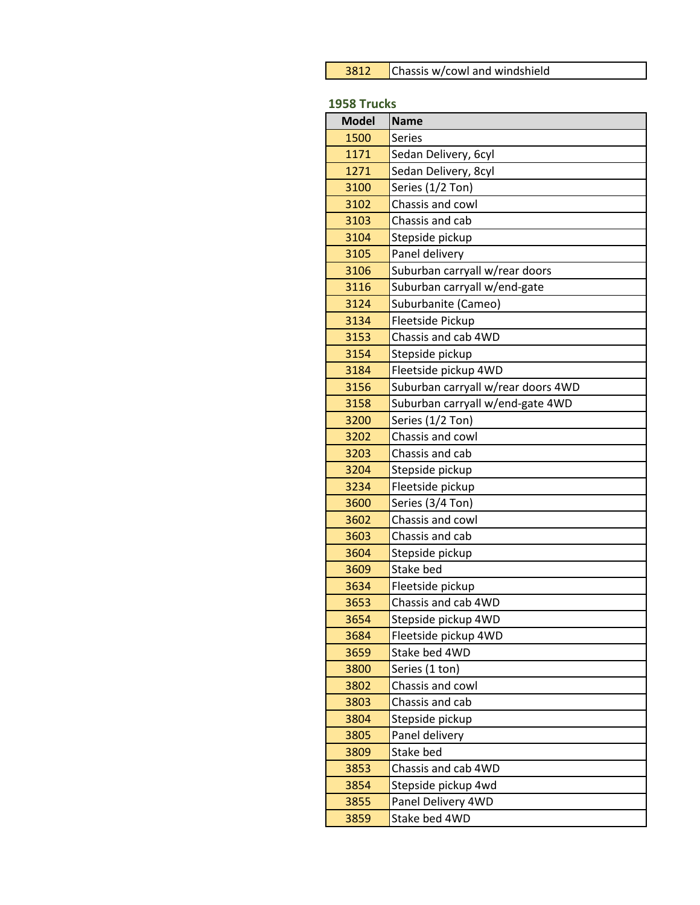| 3812 | Chassis w/cowl and windshield |
|------|-------------------------------|
|------|-------------------------------|

#### **1958 Trucks**

| <b>Model</b> | <b>Name</b>                        |
|--------------|------------------------------------|
| 1500         | <b>Series</b>                      |
| 1171         | Sedan Delivery, 6cyl               |
| 1271         | Sedan Delivery, 8cyl               |
| 3100         | Series (1/2 Ton)                   |
| 3102         | Chassis and cowl                   |
| 3103         | Chassis and cab                    |
| 3104         | Stepside pickup                    |
| 3105         | Panel delivery                     |
| 3106         | Suburban carryall w/rear doors     |
| 3116         | Suburban carryall w/end-gate       |
| 3124         | Suburbanite (Cameo)                |
| 3134         | Fleetside Pickup                   |
| 3153         | Chassis and cab 4WD                |
| 3154         | Stepside pickup                    |
| 3184         | Fleetside pickup 4WD               |
| 3156         | Suburban carryall w/rear doors 4WD |
| 3158         | Suburban carryall w/end-gate 4WD   |
| 3200         | Series (1/2 Ton)                   |
| 3202         | Chassis and cowl                   |
| 3203         | Chassis and cab                    |
| 3204         | Stepside pickup                    |
| 3234         | Fleetside pickup                   |
| 3600         | Series (3/4 Ton)                   |
| 3602         | Chassis and cowl                   |
| 3603         | Chassis and cab                    |
| 3604         | Stepside pickup                    |
| 3609         | Stake bed                          |
| 3634         | Fleetside pickup                   |
| 3653         | Chassis and cab 4WD                |
| 3654         | Stepside pickup 4WD                |
| 3684         | Fleetside pickup 4WD               |
| 3659         | Stake bed 4WD                      |
| 3800         | Series (1 ton)                     |
| 3802         | Chassis and cowl                   |
| 3803         | Chassis and cab                    |
| 3804         | Stepside pickup                    |
| 3805         | Panel delivery                     |
| 3809         | Stake bed                          |
| 3853         | Chassis and cab 4WD                |
| 3854         | Stepside pickup 4wd                |
| 3855         | Panel Delivery 4WD                 |
| 3859         | Stake bed 4WD                      |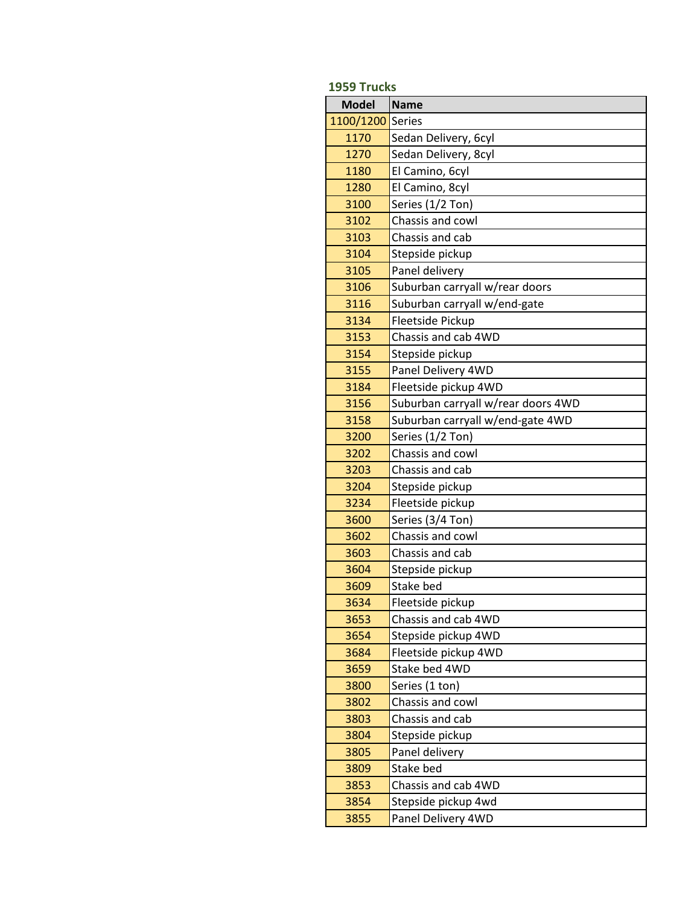| 1959 Trucks  |                                    |  |
|--------------|------------------------------------|--|
| <b>Model</b> | <b>Name</b>                        |  |
| 1100/1200    | <b>Series</b>                      |  |
| 1170         | Sedan Delivery, 6cyl               |  |
| 1270         | Sedan Delivery, 8cyl               |  |
| 1180         | El Camino, 6cyl                    |  |
| 1280         | El Camino, 8cyl                    |  |
| 3100         | Series (1/2 Ton)                   |  |
| 3102         | Chassis and cowl                   |  |
| 3103         | Chassis and cab                    |  |
| 3104         | Stepside pickup                    |  |
| 3105         | Panel delivery                     |  |
| 3106         | Suburban carryall w/rear doors     |  |
| 3116         | Suburban carryall w/end-gate       |  |
| 3134         | Fleetside Pickup                   |  |
| 3153         | Chassis and cab 4WD                |  |
| 3154         | Stepside pickup                    |  |
| 3155         | Panel Delivery 4WD                 |  |
| 3184         | Fleetside pickup 4WD               |  |
| 3156         | Suburban carryall w/rear doors 4WD |  |
| 3158         | Suburban carryall w/end-gate 4WD   |  |
| 3200         | Series (1/2 Ton)                   |  |
| 3202         | Chassis and cowl                   |  |
| 3203         | Chassis and cab                    |  |
| 3204         | Stepside pickup                    |  |
| 3234         | Fleetside pickup                   |  |
| 3600         | Series (3/4 Ton)                   |  |
| 3602         | Chassis and cowl                   |  |
| 3603         | Chassis and cab                    |  |
| 3604         | Stepside pickup                    |  |
| 3609         | Stake bed                          |  |
| 3634         | Fleetside pickup                   |  |
| 3653         | Chassis and cab 4WD                |  |
| 3654         | Stepside pickup 4WD                |  |
| 3684         | Fleetside pickup 4WD               |  |
| 3659         | Stake bed 4WD                      |  |
| 3800         | Series (1 ton)                     |  |
| 3802         | Chassis and cowl                   |  |
| 3803         | Chassis and cab                    |  |
| 3804         | Stepside pickup                    |  |
| 3805         | Panel delivery                     |  |
| 3809         | Stake bed                          |  |
| 3853         | Chassis and cab 4WD                |  |
| 3854         | Stepside pickup 4wd                |  |
| 3855         | Panel Delivery 4WD                 |  |